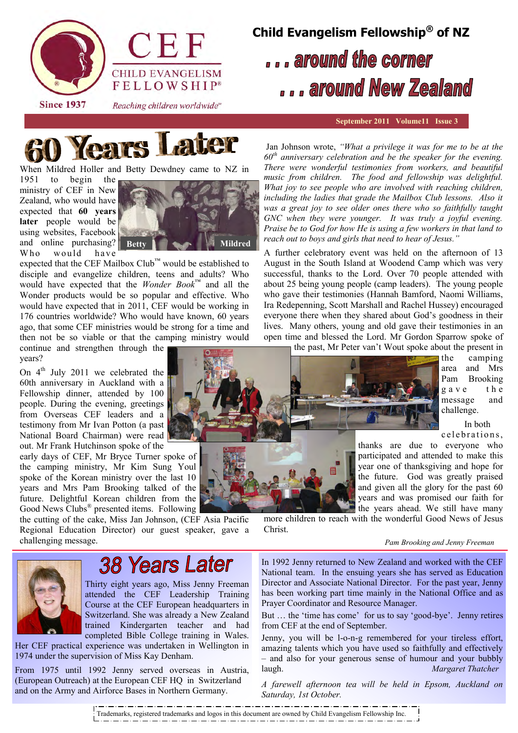

**Since 1937** 

Reaching children worldwide"

# **Child Evangelism Fellowship® of NZ**

## ... around the corner ... around New Zealand

### **September 2011 Volume11 Issue 3**



When Mildred Holler and Betty Dewdney came to NZ in

1951 to begin the ministry of CEF in New Zealand, who would have expected that **60 years**  later people would be using websites, Facebook and online purchasing? Who would have



expected that the CEF Mailbox Club™ would be established to disciple and evangelize children, teens and adults? Who would have expected that the *Wonder Book*™ and all the Wonder products would be so popular and effective. Who would have expected that in 2011, CEF would be working in 176 countries worldwide? Who would have known, 60 years ago, that some CEF ministries would be strong for a time and then not be so viable or that the camping ministry would

continue and strengthen through the years?

On  $4<sup>th</sup>$  July 2011 we celebrated the 60th anniversary in Auckland with a Fellowship dinner, attended by 100 people. During the evening, greetings from Overseas CEF leaders and a testimony from Mr Ivan Potton (a past National Board Chairman) were read out. Mr Frank Hutchinson spoke of the

early days of CEF, Mr Bryce Turner spoke of the camping ministry, Mr Kim Sung Youl spoke of the Korean ministry over the last 10 years and Mrs Pam Brooking talked of the future. Delightful Korean children from the Good News Clubs<sup>®</sup> presented items. Following

the cutting of the cake, Miss Jan Johnson, (CEF Asia Pacific Regional Education Director) our guest speaker, gave a challenging message.

Jan Johnson wrote, *"What a privilege it was for me to be at the 60th anniversary celebration and be the speaker for the evening. There were wonderful testimonies from workers, and beautiful music from children. The food and fellowship was delightful. What joy to see people who are involved with reaching children,*  including the ladies that grade the Mailbox Club lessons. Also it *was a great joy to see older ones there who so faithfully taught GNC when they were younger. It was truly a joyful evening. Praise be to God for how He is using a few workers in that land to reach out to boys and girls that need to hear of Jesus."*

A further celebratory event was held on the afternoon of 13 August in the South Island at Woodend Camp which was very successful, thanks to the Lord. Over 70 people attended with about 25 being young people (camp leaders). The young people who gave their testimonies (Hannah Bamford, Naomi Williams, Ira Redepenning, Scott Marshall and Rachel Hussey) encouraged everyone there when they shared about God"s goodness in their lives. Many others, young and old gave their testimonies in an open time and blessed the Lord. Mr Gordon Sparrow spoke of the past, Mr Peter van"t Wout spoke about the present in



the camping area and Mrs Pam Brooking g a v e the message and challenge.

 In both c e l e brations.

thanks are due to everyone who participated and attended to make this year one of thanksgiving and hope for the future. God was greatly praised and given all the glory for the past 60 years and was promised our faith for the years ahead. We still have many

more children to reach with the wonderful Good News of Jesus Christ.

#### *Pam Brooking and Jenny Freeman*



### **38 Years Later**

Thirty eight years ago, Miss Jenny Freeman attended the CEF Leadership Training Course at the CEF European headquarters in Switzerland. She was already a New Zealand trained Kindergarten teacher and had completed Bible College training in Wales.

Her CEF practical experience was undertaken in Wellington in 1974 under the supervision of Miss Kay Denham.

From 1975 until 1992 Jenny served overseas in Austria, (European Outreach) at the European CEF HQ in Switzerland and on the Army and Airforce Bases in Northern Germany.

In 1992 Jenny returned to New Zealand and worked with the CEF National team. In the ensuing years she has served as Education Director and Associate National Director. For the past year, Jenny has been working part time mainly in the National Office and as Prayer Coordinator and Resource Manager.

But ... the 'time has come' for us to say 'good-bye'. Jenny retires from CEF at the end of September.

Jenny, you will be l-o-n-g remembered for your tireless effort, amazing talents which you have used so faithfully and effectively – and also for your generous sense of humour and your bubbly laugh. *Margaret Thatcher* 

*A farewell afternoon tea will be held in Epsom, Auckland on Saturday, 1st October.* 

Trademarks, registered trademarks and logos in this document are owned by Child Evangelism Fellowship Inc.